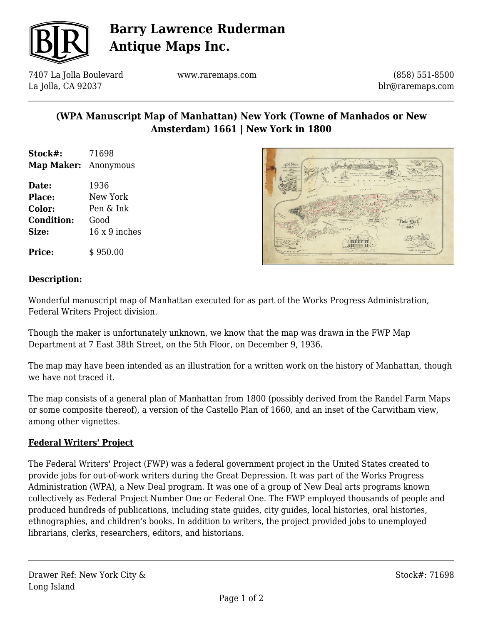

# **Barry Lawrence Ruderman Antique Maps Inc.**

7407 La Jolla Boulevard La Jolla, CA 92037

www.raremaps.com

(858) 551-8500 blr@raremaps.com

## **(WPA Manuscript Map of Manhattan) New York (Towne of Manhados or New Amsterdam) 1661 | New York in 1800**

| Stock#:    | 71698     |
|------------|-----------|
| Map Maker: | Anonymous |

**Date:** 1936 **Place:** New York **Color:** Pen & Ink **Condition:** Good **Size:** 16 x 9 inches





### **Description:**

Wonderful manuscript map of Manhattan executed for as part of the Works Progress Administration, Federal Writers Project division.

Though the maker is unfortunately unknown, we know that the map was drawn in the FWP Map Department at 7 East 38th Street, on the 5th Floor, on December 9, 1936.

The map may have been intended as an illustration for a written work on the history of Manhattan, though we have not traced it.

The map consists of a general plan of Manhattan from 1800 (possibly derived from the Randel Farm Maps or some composite thereof), a version of the Castello Plan of 1660, and an inset of the Carwitham view, among other vignettes.

### **Federal Writers' Project**

The Federal Writers' Project (FWP) was a federal government project in the United States created to provide jobs for out-of-work writers during the Great Depression. It was part of the Works Progress Administration (WPA), a New Deal program. It was one of a group of New Deal arts programs known collectively as Federal Project Number One or Federal One. The FWP employed thousands of people and produced hundreds of publications, including state guides, city guides, local histories, oral histories, ethnographies, and children's books. In addition to writers, the project provided jobs to unemployed librarians, clerks, researchers, editors, and historians.